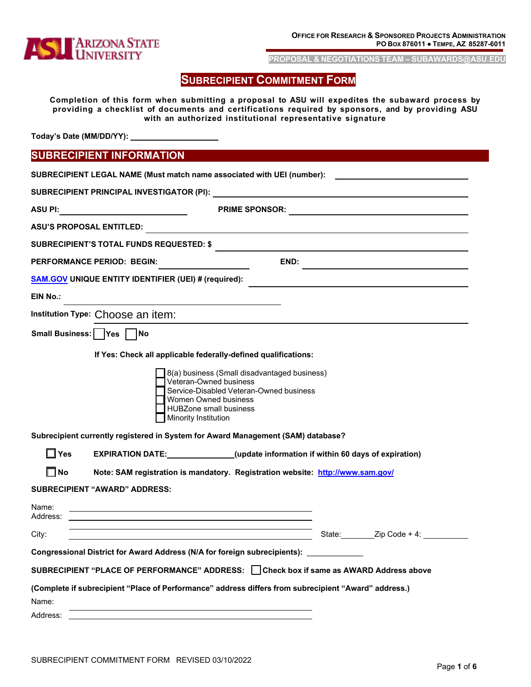

**PROPOSAL & NEGOTIATIONS TEAM [– SUBAWARDS@ASU.EDU](mailto:SUBAWARDS@ASU.EDU)**

# **SUBRECIPIENT COMMITMENT FORM**

**Completion of this form when submitting a proposal to ASU will expedites the subaward process by providing a checklist of documents and certifications required by sponsors, and by providing ASU with an authorized institutional representative signature**

**Today's Date (MM/DD/YY):** 

# **SUBRECIPIENT INFORMATION**

|                   | SUBRECIPIENT LEGAL NAME (Must match name associated with UEI (number): _________                                                                                                                                                                                     |                                                                                         |  |  |
|-------------------|----------------------------------------------------------------------------------------------------------------------------------------------------------------------------------------------------------------------------------------------------------------------|-----------------------------------------------------------------------------------------|--|--|
|                   |                                                                                                                                                                                                                                                                      |                                                                                         |  |  |
| <b>ASU PI:</b>    | <b>PRIME SPONSOR:</b>                                                                                                                                                                                                                                                |                                                                                         |  |  |
|                   | <b>ASU'S PROPOSAL ENTITLED:</b>                                                                                                                                                                                                                                      |                                                                                         |  |  |
|                   | <b>SUBRECIPIENT'S TOTAL FUNDS REQUESTED: \$</b>                                                                                                                                                                                                                      |                                                                                         |  |  |
|                   | PERFORMANCE PERIOD: BEGIN:                                                                                                                                                                                                                                           | END:                                                                                    |  |  |
|                   | <b>SAM.GOV UNIQUE ENTITY IDENTIFIER (UEI) # (required):</b>                                                                                                                                                                                                          |                                                                                         |  |  |
| EIN No.:          |                                                                                                                                                                                                                                                                      |                                                                                         |  |  |
|                   | Institution Type: Choose an item:                                                                                                                                                                                                                                    |                                                                                         |  |  |
|                   | Small Business: Yes No                                                                                                                                                                                                                                               |                                                                                         |  |  |
|                   | If Yes: Check all applicable federally-defined qualifications:<br>Veteran-Owned business<br>Women Owned business<br><b>HUBZone small business</b><br><b>Minority Institution</b><br>Subrecipient currently registered in System for Award Management (SAM) database? | 8(a) business (Small disadvantaged business)<br>Service-Disabled Veteran-Owned business |  |  |
| $\Box$ Yes        | <b>EXPIRATION DATE:</b> (update information if within 60 days of expiration)                                                                                                                                                                                         |                                                                                         |  |  |
| $\Box$ No         | Note: SAM registration is mandatory. Registration website: http://www.sam.gov/                                                                                                                                                                                       |                                                                                         |  |  |
|                   | <b>SUBRECIPIENT "AWARD" ADDRESS:</b>                                                                                                                                                                                                                                 |                                                                                         |  |  |
| Name:<br>Address: |                                                                                                                                                                                                                                                                      |                                                                                         |  |  |
| City:             |                                                                                                                                                                                                                                                                      |                                                                                         |  |  |
|                   | Congressional District for Award Address (N/A for foreign subrecipients): __________                                                                                                                                                                                 |                                                                                         |  |  |
|                   | SUBRECIPIENT "PLACE OF PERFORMANCE" ADDRESS: □ Check box if same as AWARD Address above                                                                                                                                                                              |                                                                                         |  |  |
|                   | (Complete if subrecipient "Place of Performance" address differs from subrecipient "Award" address.)                                                                                                                                                                 |                                                                                         |  |  |
| Name:             |                                                                                                                                                                                                                                                                      |                                                                                         |  |  |
| Address:          |                                                                                                                                                                                                                                                                      |                                                                                         |  |  |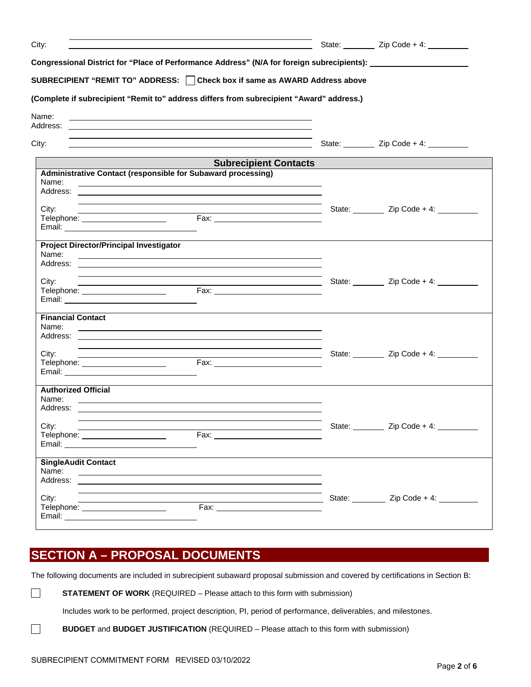| City:                                                                                                                                                                                                                          | <u> 1989 - Johann Stoff, amerikansk politiker (* 1908)</u>                                                                                                                                                                                 | State: _________ Zip Code + 4: ________   |  |
|--------------------------------------------------------------------------------------------------------------------------------------------------------------------------------------------------------------------------------|--------------------------------------------------------------------------------------------------------------------------------------------------------------------------------------------------------------------------------------------|-------------------------------------------|--|
|                                                                                                                                                                                                                                | Congressional District for "Place of Performance Address" (N/A for foreign subrecipients): ___________________                                                                                                                             |                                           |  |
|                                                                                                                                                                                                                                | SUBRECIPIENT "REMIT TO" ADDRESS:   Check box if same as AWARD Address above                                                                                                                                                                |                                           |  |
|                                                                                                                                                                                                                                | (Complete if subrecipient "Remit to" address differs from subrecipient "Award" address.)                                                                                                                                                   |                                           |  |
| Name:<br>Address:                                                                                                                                                                                                              | <u> 1999 - Johann Harry Harry Harry Harry Harry Harry Harry Harry Harry Harry Harry Harry Harry Harry Harry Harry</u>                                                                                                                      |                                           |  |
| City:                                                                                                                                                                                                                          | and the control of the control of the control of the control of the control of the control of the control of the<br><u> 1989 - Johann Stoff, deutscher Stoffen und der Stoffen und der Stoffen und der Stoffen und der Stoffen und der</u> | State: <u>Zip Code</u> + 4:               |  |
|                                                                                                                                                                                                                                | <b>Subrecipient Contacts</b>                                                                                                                                                                                                               |                                           |  |
| Name:                                                                                                                                                                                                                          | Administrative Contact (responsible for Subaward processing)<br><u> 1989 - Johann Stoff, deutscher Stoffen und der Stoffen und der Stoffen und der Stoffen und der Stoffen und der</u>                                                     |                                           |  |
|                                                                                                                                                                                                                                |                                                                                                                                                                                                                                            |                                           |  |
| City:                                                                                                                                                                                                                          |                                                                                                                                                                                                                                            | State: __________ Zip Code + 4: _________ |  |
| Email: No. 2020 No. 2020 No. 2020 No. 2020 No. 2020 No. 2020 No. 2020 No. 2020 No. 2020 No. 2020 No. 2020 No. 2020 No. 2020 No. 2020 No. 2020 No. 2020 No. 2020 No. 2020 No. 2020 No. 2020 No. 2020 No. 2020 No. 2020 No. 2020 |                                                                                                                                                                                                                                            |                                           |  |
| <b>Project Director/Principal Investigator</b>                                                                                                                                                                                 |                                                                                                                                                                                                                                            |                                           |  |
| Name:                                                                                                                                                                                                                          |                                                                                                                                                                                                                                            |                                           |  |
|                                                                                                                                                                                                                                |                                                                                                                                                                                                                                            |                                           |  |
| City:                                                                                                                                                                                                                          | <u> 1989 - Jan Sarajević, politika i postala i postala i postala i postala i postala i postala i postala i posta</u>                                                                                                                       | State: __________ Zip Code + 4: _________ |  |
| Telephone: _____________________                                                                                                                                                                                               |                                                                                                                                                                                                                                            |                                           |  |
| <b>Financial Contact</b>                                                                                                                                                                                                       |                                                                                                                                                                                                                                            |                                           |  |
| Name:                                                                                                                                                                                                                          |                                                                                                                                                                                                                                            |                                           |  |
|                                                                                                                                                                                                                                | and the control of the control of the control of the control of the control of the control of the control of the                                                                                                                           |                                           |  |
| City:                                                                                                                                                                                                                          |                                                                                                                                                                                                                                            | State: <u>Zip Code</u> + 4:               |  |
| Telephone: _____________________                                                                                                                                                                                               |                                                                                                                                                                                                                                            |                                           |  |
| <b>Authorized Official</b>                                                                                                                                                                                                     |                                                                                                                                                                                                                                            |                                           |  |
| Name:                                                                                                                                                                                                                          |                                                                                                                                                                                                                                            |                                           |  |
|                                                                                                                                                                                                                                |                                                                                                                                                                                                                                            |                                           |  |
|                                                                                                                                                                                                                                |                                                                                                                                                                                                                                            |                                           |  |
| City:                                                                                                                                                                                                                          |                                                                                                                                                                                                                                            | State: __________ Zip Code + 4: ___       |  |
| Telephone: _____________________                                                                                                                                                                                               | Fax: The Company of the Company of the Company of the Company of the Company of the Company of the Company of the Company of the Company of the Company of the Company of the Company of the Company of the Company of the Com             |                                           |  |
| <b>SingleAudit Contact</b>                                                                                                                                                                                                     |                                                                                                                                                                                                                                            |                                           |  |
| Name:                                                                                                                                                                                                                          | <u> 1989 - Johann Stoff, amerikansk politiker (d. 1989)</u>                                                                                                                                                                                |                                           |  |
| City:                                                                                                                                                                                                                          |                                                                                                                                                                                                                                            | State: <u>Zip Code</u> + 4:               |  |
| Telephone: The contract of the contract of the contract of the contract of the contract of the contract of the contract of the contract of the contract of the contract of the contract of the contract of the contract of the | <u> Alexandria de la contrada de la con</u>                                                                                                                                                                                                |                                           |  |
|                                                                                                                                                                                                                                |                                                                                                                                                                                                                                            |                                           |  |

# **SECTION A – PROPOSAL DOCUMENTS**

 $\Box$ 

 $\Box$ 

The following documents are included in subrecipient subaward proposal submission and covered by certifications in Section B:

**STATEMENT OF WORK** (REQUIRED – Please attach to this form with submission)

Includes work to be performed, project description, PI, period of performance, deliverables, and milestones.

**BUDGET** and **BUDGET JUSTIFICATION** (REQUIRED – Please attach to this form with submission)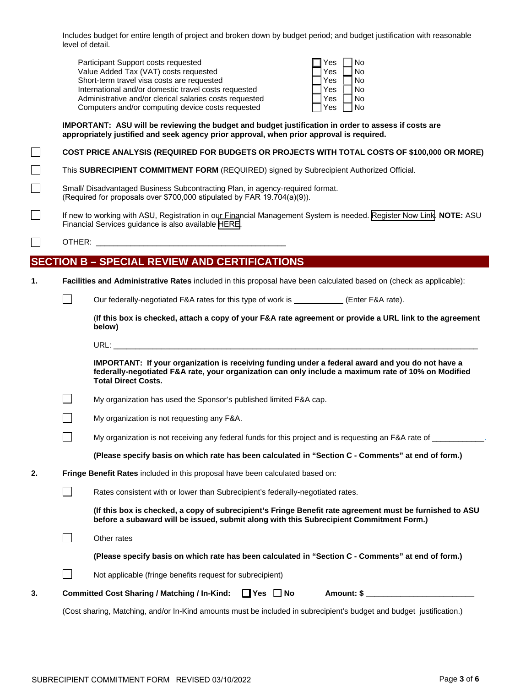Includes budget for entire length of project and broken down by budget period; and budget justification with reasonable level of detail.

| Participant Support costs requested                     | Yes | No        |
|---------------------------------------------------------|-----|-----------|
| Value Added Tax (VAT) costs requested                   | Yes | No        |
| Short-term travel visa costs are requested              | Yes | No        |
| International and/or domestic travel costs requested    | Yes | <b>No</b> |
| Administrative and/or clerical salaries costs requested | Yes | No        |
| Computers and/or computing device costs requested       | Yes | <b>No</b> |

#### **IMPORTANT: ASU will be reviewing the budget and budget justification in order to assess if costs are appropriately justified and seek agency prior approval, when prior approval is required.**

## **COST PRICE ANALYSIS (REQUIRED FOR BUDGETS OR PROJECTS WITH TOTAL COSTS OF \$100,000 OR MORE)**

 $\blacksquare$ This **SUBRECIPIENT COMMITMENT FORM** (REQUIRED) signed by Subrecipient Authorized Official.

- Small/ Disadvantaged Business Subcontracting Plan, in agency-required format. (Required for proposals over \$700,000 stipulated by FAR 19.704(a)(9)).
- $\mathbb{R}^n$ If new to working with ASU, Registration in our Financial Management System is needed. [Register Now Link](https://wd1.myworkdaysite.com/supplier/asu/12345). **NOTE:** [ASU](http://www.irs.gov/uac/About-Form-W-8BEN-E)  Financial Services guidance is also available [HERE.](https://www.asu.edu/purchasing/forms/SupplierRegistration.pdf)
- $\Box$ OTHER: **WEBER**

 $\Box$ 

# **SECTION B – SPECIAL REVIEW AND CERTIFICATIONS**

**1. Facilities and Administrative Rates** included in this proposal have been calculated based on (check as applicable):

 $\Box$ 

 $\Box$ 

Our federally-negotiated F&A rates for this type of work is (Enter F&A rate).

(**If this box is checked, attach a copy of your F&A rate agreement or provide a URL link to the agreement below)**

URL: \_\_\_\_\_\_\_\_\_\_\_\_\_\_\_\_\_\_\_\_\_\_\_\_\_\_\_\_\_\_\_\_\_\_\_\_\_\_\_\_\_\_\_\_\_\_\_\_\_\_\_\_\_\_\_\_\_\_\_\_\_\_\_\_\_\_\_\_\_\_\_\_\_\_\_\_\_\_\_\_\_\_\_\_

**IMPORTANT: If your organization is receiving funding under a federal award and you do not have a federally-negotiated F&A rate, your organization can only include a maximum rate of 10% on Modified Total Direct Costs.**

 $\Box$ My organization has used the Sponsor's published limited F&A cap.

My organization is not requesting any F&A.

My organization is not receiving any federal funds for this project and is requesting an F&A rate of \_\_\_\_\_\_\_\_\_

**(Please specify basis on which rate has been calculated in "Section C - Comments" at end of form.)** 

**2. Fringe Benefit Rates** included in this proposal have been calculated based on:

Rates consistent with or lower than Subrecipient's federally-negotiated rates.

**(If this box is checked, a copy of subrecipient's Fringe Benefit rate agreement must be furnished to ASU before a subaward will be issued, submit along with this Subrecipient Commitment Form.)**

|  | Committed Cost Sharing / Matching / In-Kind: □ Yes □ No<br>Amount: \$                              |
|--|----------------------------------------------------------------------------------------------------|
|  | Not applicable (fringe benefits request for subrecipient)                                          |
|  | (Please specify basis on which rate has been calculated in "Section C - Comments" at end of form.) |
|  | Other rates                                                                                        |

(Cost sharing, Matching, and/or In-Kind amounts must be included in subrecipient's budget and budget justification.)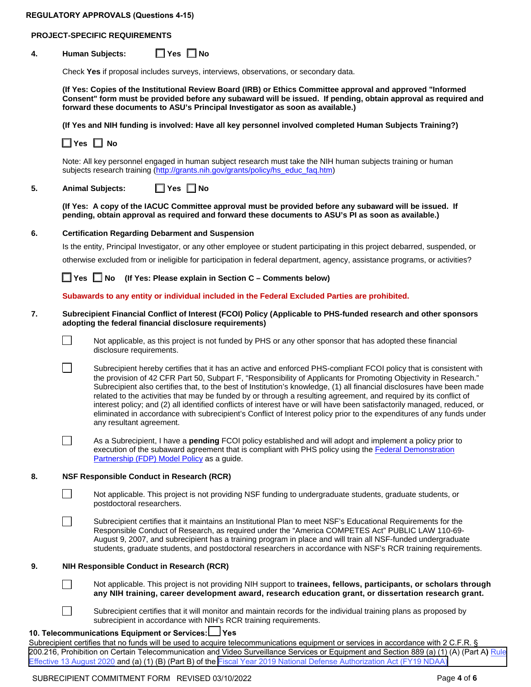## **PROJECT-SPECIFIC REQUIREMENTS**

# **4. Human Subjects: Yes No**

Check **Yes** if proposal includes surveys, interviews, observations, or secondary data.

**(If Yes: Copies of the Institutional Review Board (IRB) or Ethics Committee approval and approved "Informed Consent" form must be provided before any subaward will be issued. If pending, obtain approval as required and forward these documents to ASU's Principal Investigator as soon as available.)**

**(If Yes and NIH funding is involved: Have all key personnel involved completed Human Subjects Training?)**

**Yes No**

Note: All key personnel engaged in human subject research must take the NIH human subjects training or human subjects research training [\(http://grants.nih.gov/grants/policy/hs\\_educ\\_faq.htm\)](http://grants.nih.gov/grants/policy/hs_educ_faq.htm)

## **5. Animal Subjects: Yes No**

**(If Yes: A copy of the IACUC Committee approval must be provided before any subaward will be issued. If pending, obtain approval as required and forward these documents to ASU's PI as soon as available.)**

## **6. Certification Regarding Debarment and Suspension**

Is the entity, Principal Investigator, or any other employee or student participating in this project debarred, suspended, or otherwise excluded from or ineligible for participation in federal department, agency, assistance programs, or activities?

 $\Box$ 

 $\Box$ 

 $\Box$ 

 $\Box$ 

 $\mathbf{L}$ 

 $\Box$ 

**Yes Mo** (If Yes: Please explain in Section C – Comments below)

**Subawards to any entity or individual included in the Federal Excluded Parties are prohibited.** 

### **7. Subrecipient Financial Conflict of Interest (FCOI) Policy (Applicable to PHS-funded research and other sponsors adopting the federal financial disclosure requirements)**



Not applicable, as this project is not funded by PHS or any other sponsor that has adopted these financial disclosure requirements.

Subrecipient hereby certifies that it has an active and enforced PHS-compliant FCOI policy that is consistent with the provision of 42 CFR Part 50, Subpart F, "Responsibility of Applicants for Promoting Objectivity in Research." Subrecipient also certifies that, to the best of Institution's knowledge, (1) all financial disclosures have been made related to the activities that may be funded by or through a resulting agreement, and required by its conflict of interest policy; and (2) all identified conflicts of interest have or will have been satisfactorily managed, reduced, or eliminated in accordance with subrecipient's Conflict of Interest policy prior to the expenditures of any funds under any resultant agreement.

As a Subrecipient, I have a **pending** FCOI policy established and will adopt and implement a policy prior to execution of the subaward agreement that is compliant with PHS policy using the Federal Demonstration [Partnership \(FDP\) Model Policy](http://sites.nationalacademies.org/PGA/fdp/PGA_061001) as a guide.

### **8. NSF Responsible Conduct in Research (RCR)**

Not applicable. This project is not providing NSF funding to undergraduate students, graduate students, or postdoctoral researchers.

Subrecipient certifies that it maintains an Institutional Plan to meet NSF's Educational Requirements for the Responsible Conduct of Research, as required under the "America COMPETES Act" PUBLIC LAW 110-69- August 9, 2007, and subrecipient has a training program in place and will train all NSF-funded undergraduate students, graduate students, and postdoctoral researchers in accordance with NSF's RCR training requirements.

### **9. NIH Responsible Conduct in Research (RCR)**

Not applicable. This project is not providing NIH support to **trainees, fellows, participants, or scholars through any NIH training, career development award, research education grant, or dissertation research grant.**

Subrecipient certifies that it will monitor and maintain records for the individual training plans as proposed by subrecipient in accordance with NIH's RCR training requirements.

## **10. Telecommunications Equipment or Services: Y s e s**

Subrecipient certifies that no funds will be used to acquire telecommunications equipment or services in accordance with 2 C.F.R. § [200.216, Prohibition on Certain Telecommunication and Video Surveillance Services or Equipment and Section 889 \(a\) \(1\) \(A\) \(Part A](https://www.federalregister.gov/documents/2020/07/14/2020-15293/federal-acquisition-regulation-prohibition-on-contracting-with-entities-using-certain)**)** Rule Effective 13 August 2020 and (a) (1) (B) (Part B) of the [Fiscal Year 2019 National Defense Authorization Act \(FY19 NDAA\)](https://www.congress.gov/115/plaws/publ232/PLAW-115publ232.pdf)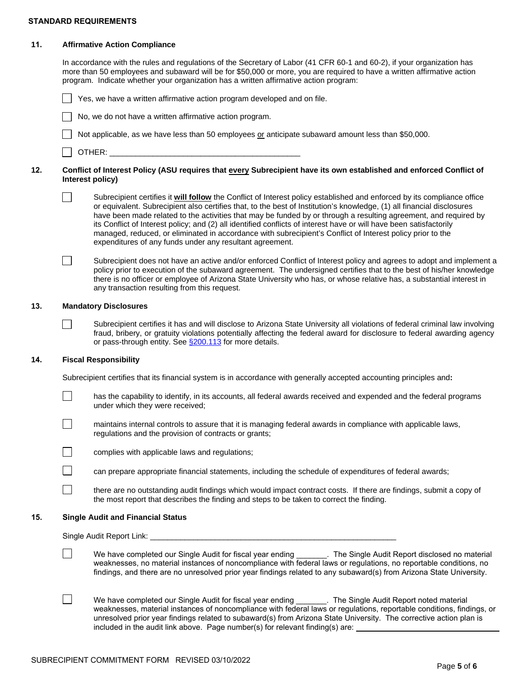#### **STANDARD REQUIREMENTS**

#### **11. Affirmative Action Compliance**

In accordance with the rules and regulations of the Secretary of Labor (41 CFR 60-1 and 60-2), if your organization has more than 50 employees and subaward will be for \$50,000 or more, you are required to have a written affirmative action program. Indicate whether your organization has a written affirmative action program:

Yes, we have a written affirmative action program developed and on file.

No, we do not have a written affirmative action program.

Not applicable, as we have less than 50 employees or anticipate subaward amount less than \$50,000.

 $\parallel$  OTHER:

#### **12. Conflict of Interest Policy (ASU requires that every Subrecipient have its own established and enforced Conflict of Interest policy)**

 $\perp$ 

П

 $\Box$ 

 $\Box$ 

 $\Box$ 

 $\Box$ 

 $\Box$ 

 $\Box$ 

 $\Box$ 

Subrecipient certifies it **will follow** the Conflict of Interest policy established and enforced by its compliance office or equivalent. Subrecipient also certifies that, to the best of Institution's knowledge, (1) all financial disclosures have been made related to the activities that may be funded by or through a resulting agreement, and required by its Conflict of Interest policy; and (2) all identified conflicts of interest have or will have been satisfactorily managed, reduced, or eliminated in accordance with subrecipient's Conflict of Interest policy prior to the expenditures of any funds under any resultant agreement.

Subrecipient does not have an active and/or enforced Conflict of Interest policy and agrees to adopt and implement a policy prior to execution of the subaward agreement. The undersigned certifies that to the best of his/her knowledge there is no officer or employee of Arizona State University who has, or whose relative has, a substantial interest in any transaction resulting from this request.

#### **13. Mandatory Disclosures**

Subrecipient certifies it has and will disclose to Arizona State University all violations of federal criminal law involving fraud, bribery, or gratuity violations potentially affecting the federal award for disclosure to federal awarding agency or pass-through entity. See \$200.113 for more details.

#### **14. Fiscal Responsibility**

Subrecipient certifies that its financial system is in accordance with generally accepted accounting principles and**:**

has the capability to identify, in its accounts, all federal awards received and expended and the federal programs under which they were received;

maintains internal controls to assure that it is managing federal awards in compliance with applicable laws, regulations and the provision of contracts or grants;



complies with applicable laws and regulations;

can prepare appropriate financial statements, including the schedule of expenditures of federal awards;

there are no outstanding audit findings which would impact contract costs. If there are findings, submit a copy of the most report that describes the finding and steps to be taken to correct the finding.

#### **15. Single Audit and Financial Status**

Single Audit Report Link:

We have completed our Single Audit for fiscal year ending \_\_\_\_\_\_\_. The Single Audit Report disclosed no material weaknesses, no material instances of noncompliance with federal laws or regulations, no reportable conditions, no findings, and there are no unresolved prior year findings related to any subaward(s) from Arizona State University.

We have completed our Single Audit for fiscal year ending \_\_\_\_\_\_\_. The Single Audit Report noted material weaknesses, material instances of noncompliance with federal laws or regulations, reportable conditions, findings, or unresolved prior year findings related to subaward(s) from Arizona State University. The corrective action plan is included in the audit link above. Page number(s) for relevant finding(s) are: